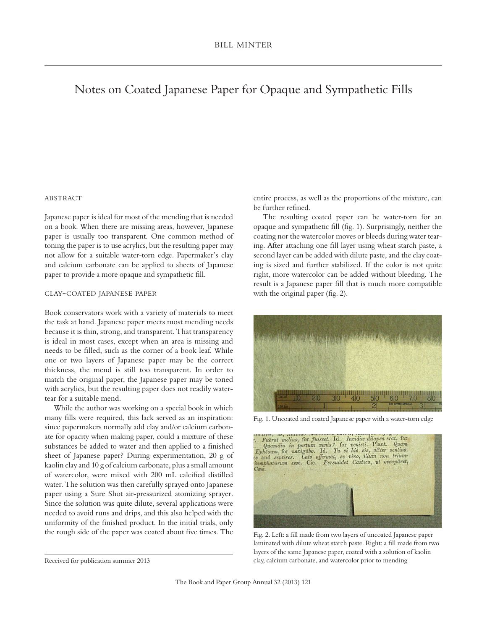## Notes on Coated Japanese Paper for Opaque and Sympathetic Fills

## **ABSTRACT**

Japanese paper is ideal for most of the mending that is needed on a book. When there are missing areas, however, Japanese paper is usually too transparent. One common method of toning the paper is to use acrylics, but the resulting paper may not allow for a suitable water-torn edge. Papermaker's clay and calcium carbonate can be applied to sheets of Japanese paper to provide a more opaque and sympathetic fill.

## clay-coated japanese paper

Book conservators work with a variety of materials to meet the task at hand. Japanese paper meets most mending needs because it is thin, strong, and transparent. That transparency is ideal in most cases, except when an area is missing and needs to be filled, such as the corner of a book leaf. While one or two layers of Japanese paper may be the correct thickness, the mend is still too transparent. In order to match the original paper, the Japanese paper may be toned with acrylics, but the resulting paper does not readily watertear for a suitable mend.

While the author was working on a special book in which many fills were required, this lack served as an inspiration: since papermakers normally add clay and/or calcium carbonate for opacity when making paper, could a mixture of these substances be added to water and then applied to a finished sheet of Japanese paper? During experimentation, 20 g of kaolin clay and 10 g of calcium carbonate, plus a small amount of watercolor, were mixed with 200 mL calcified distilled water. The solution was then carefully sprayed onto Japanese paper using a Sure Shot air-pressurized atomizing sprayer. Since the solution was quite dilute, several applications were needed to avoid runs and drips, and this also helped with the uniformity of the finished product. In the initial trials, only the rough side of the paper was coated about five times. The entire process, as well as the proportions of the mixture, can be further refined.

The resulting coated paper can be water-torn for an opaque and sympathetic fill (fig. 1). Surprisingly, neither the coating nor the watercolor moves or bleeds during water tearing. After attaching one fill layer using wheat starch paste, a second layer can be added with dilute paste, and the clay coating is sized and further stabilized. If the color is not quite right, more watercolor can be added without bleeding. The result is a Japanese paper fill that is much more compatible with the original paper (fig. 2).



Fig. 1. Uncoated and coated Japanese paper with a water-torn edge

|      | . Fuerat melius, for fuisset. Id. Invidia dilapsa erat, for<br>Quamdiu in portum venis? for venisti. Plaut. Quam Ephesum, for navigabo. Id. Tu si hic sis, altter sentias. |  |
|------|----------------------------------------------------------------------------------------------------------------------------------------------------------------------------|--|
|      | es and sentires. Cato affirmat, se vivo, illum non trium-<br>iumphatūrum esse. Cic. Persuādet Castico, ut occupāret,                                                       |  |
| Cæs. |                                                                                                                                                                            |  |
|      |                                                                                                                                                                            |  |
|      |                                                                                                                                                                            |  |
|      |                                                                                                                                                                            |  |
|      |                                                                                                                                                                            |  |

Fig. 2. Left: a fill made from two layers of uncoated Japanese paper laminated with dilute wheat starch paste. Right: a fill made from two layers of the same Japanese paper, coated with a solution of kaolin clay, calcium carbonate, and watercolor prior to mending

Received for publication summer 2013